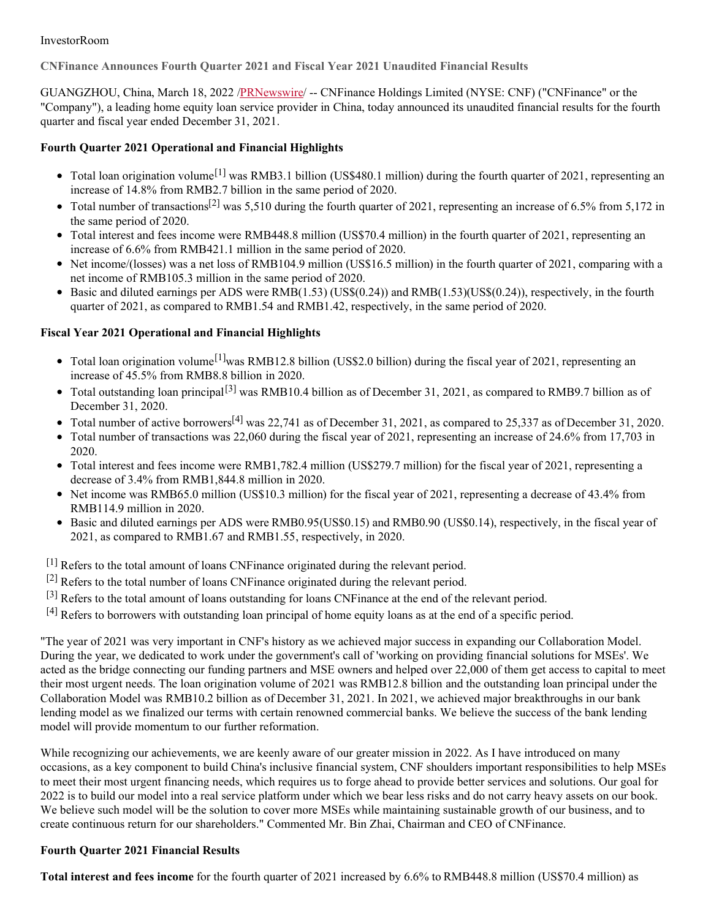#### InvestorRoom

**CNFinance Announces Fourth Quarter 2021 and Fiscal Year 2021 Unaudited Financial Results**

GUANGZHOU, China, March 18, 2022 [/PRNewswire](http://www.prnewswire.com/)/ -- CNFinance Holdings Limited (NYSE: CNF) ("CNFinance" or the "Company"), a leading home equity loan service provider in China, today announced its unaudited financial results for the fourth quarter and fiscal year ended December 31, 2021.

# **Fourth Quarter 2021 Operational and Financial Highlights**

- Total loan origination volume<sup>[1]</sup> was RMB3.1 billion (US\$480.1 million) during the fourth quarter of 2021, representing an increase of 14.8% from RMB2.7 billion in the same period of 2020.
- Total number of transactions<sup>[2]</sup> was 5,510 during the fourth quarter of 2021, representing an increase of 6.5% from 5,172 in the same period of 2020.
- Total interest and fees income were RMB448.8 million (US\$70.4 million) in the fourth quarter of 2021, representing an increase of 6.6% from RMB421.1 million in the same period of 2020.
- Net income/(losses) was a net loss of RMB104.9 million (US\$16.5 million) in the fourth quarter of 2021, comparing with a net income of RMB105.3 million in the same period of 2020.
- Basic and diluted earnings per ADS were  $RMB(1.53)$  (US\$(0.24)) and  $RMB(1.53)$  (US\$(0.24)), respectively, in the fourth quarter of 2021, as compared to RMB1.54 and RMB1.42, respectively, in the same period of 2020.

# **Fiscal Year 2021 Operational and Financial Highlights**

- Total loan origination volume<sup>[1]</sup>was RMB12.8 billion (US\$2.0 billion) during the fiscal year of 2021, representing an increase of 45.5% from RMB8.8 billion in 2020.
- Total outstanding loan principal<sup>[3]</sup> was RMB10.4 billion as of December 31, 2021, as compared to RMB9.7 billion as of December 31, 2020.
- Total number of active borrowers<sup>[4]</sup> was 22,741 as of December 31, 2021, as compared to 25,337 as of December 31, 2020.
- Total number of transactions was 22,060 during the fiscal year of 2021, representing an increase of 24.6% from 17,703 in 2020.
- Total interest and fees income were RMB1,782.4 million (US\$279.7 million) for the fiscal year of 2021, representing a decrease of 3.4% from RMB1,844.8 million in 2020.
- Net income was RMB65.0 million (US\$10.3 million) for the fiscal year of 2021, representing a decrease of 43.4% from RMB114.9 million in 2020.
- Basic and diluted earnings per ADS were RMB0.95(US\$0.15) and RMB0.90 (US\$0.14), respectively, in the fiscal year of 2021, as compared to RMB1.67 and RMB1.55, respectively, in 2020.
- <sup>[1]</sup> Refers to the total amount of loans CNFinance originated during the relevant period.
- [2] Refers to the total number of loans CNFinance originated during the relevant period.
- [3] Refers to the total amount of loans outstanding for loans CNFinance at the end of the relevant period.
- [4] Refers to borrowers with outstanding loan principal of home equity loans as at the end of a specific period.

"The year of 2021 was very important in CNF's history as we achieved major success in expanding our Collaboration Model. During the year, we dedicated to work under the government's call of 'working on providing financial solutions for MSEs'. We acted as the bridge connecting our funding partners and MSE owners and helped over 22,000 of them get access to capital to meet their most urgent needs. The loan origination volume of 2021 was RMB12.8 billion and the outstanding loan principal under the Collaboration Model was RMB10.2 billion as of December 31, 2021. In 2021, we achieved major breakthroughs in our bank lending model as we finalized our terms with certain renowned commercial banks. We believe the success of the bank lending model will provide momentum to our further reformation.

While recognizing our achievements, we are keenly aware of our greater mission in 2022. As I have introduced on many occasions, as a key component to build China's inclusive financial system, CNF shoulders important responsibilities to help MSEs to meet their most urgent financing needs, which requires us to forge ahead to provide better services and solutions. Our goal for 2022 is to build our model into a real service platform under which we bear less risks and do not carry heavy assets on our book. We believe such model will be the solution to cover more MSEs while maintaining sustainable growth of our business, and to create continuous return for our shareholders." Commented Mr. Bin Zhai, Chairman and CEO of CNFinance.

# **Fourth Quarter 2021 Financial Results**

**Total interest and fees income** for the fourth quarter of 2021 increased by 6.6% to RMB448.8 million (US\$70.4 million) as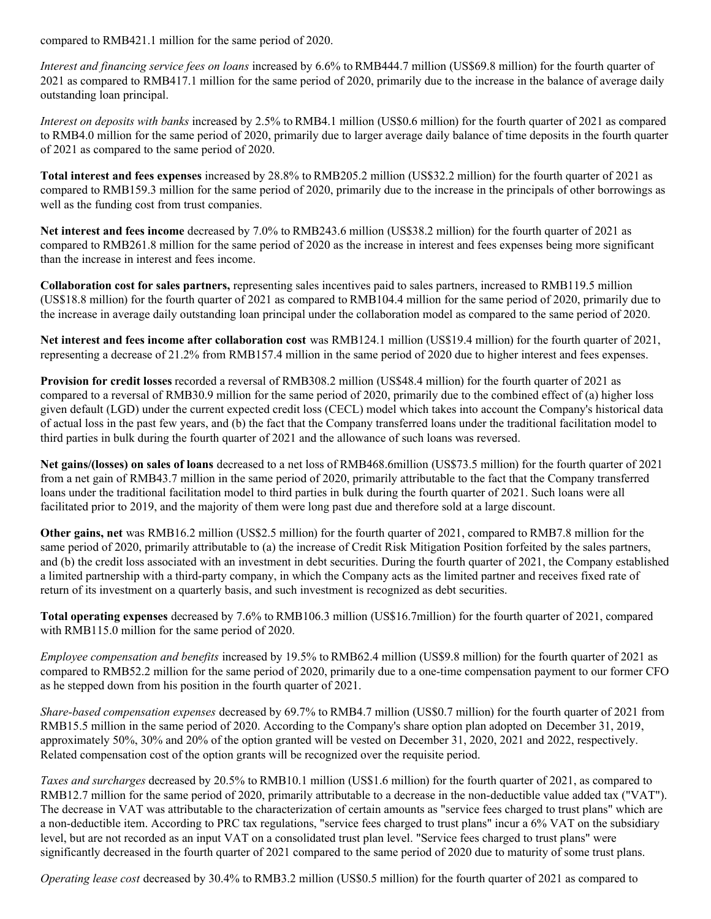compared to RMB421.1 million for the same period of 2020.

*Interest and financing service fees on loans* increased by 6.6% to RMB444.7 million (US\$69.8 million) for the fourth quarter of 2021 as compared to RMB417.1 million for the same period of 2020, primarily due to the increase in the balance of average daily outstanding loan principal.

*Interest on deposits with banks* increased by 2.5% to RMB4.1 million (US\$0.6 million) for the fourth quarter of 2021 as compared to RMB4.0 million for the same period of 2020, primarily due to larger average daily balance of time deposits in the fourth quarter of 2021 as compared to the same period of 2020.

**Total interest and fees expenses** increased by 28.8% to RMB205.2 million (US\$32.2 million) for the fourth quarter of 2021 as compared to RMB159.3 million for the same period of 2020, primarily due to the increase in the principals of other borrowings as well as the funding cost from trust companies.

**Net interest and fees income** decreased by 7.0% to RMB243.6 million (US\$38.2 million) for the fourth quarter of 2021 as compared to RMB261.8 million for the same period of 2020 as the increase in interest and fees expenses being more significant than the increase in interest and fees income.

**Collaboration cost for sales partners,** representing sales incentives paid to sales partners, increased to RMB119.5 million (US\$18.8 million) for the fourth quarter of 2021 as compared to RMB104.4 million for the same period of 2020, primarily due to the increase in average daily outstanding loan principal under the collaboration model as compared to the same period of 2020.

**Net interest and fees income after collaboration cost** was RMB124.1 million (US\$19.4 million) for the fourth quarter of 2021, representing a decrease of 21.2% from RMB157.4 million in the same period of 2020 due to higher interest and fees expenses.

**Provision for credit losses** recorded a reversal of RMB308.2 million (US\$48.4 million) for the fourth quarter of 2021 as compared to a reversal of RMB30.9 million for the same period of 2020, primarily due to the combined effect of (a) higher loss given default (LGD) under the current expected credit loss (CECL) model which takes into account the Company's historical data of actual loss in the past few years, and (b) the fact that the Company transferred loans under the traditional facilitation model to third parties in bulk during the fourth quarter of 2021 and the allowance of such loans was reversed.

**Net gains/(losses) on sales of loans** decreased to a net loss of RMB468.6million (US\$73.5 million) for the fourth quarter of 2021 from a net gain of RMB43.7 million in the same period of 2020, primarily attributable to the fact that the Company transferred loans under the traditional facilitation model to third parties in bulk during the fourth quarter of 2021. Such loans were all facilitated prior to 2019, and the majority of them were long past due and therefore sold at a large discount.

**Other gains, net** was RMB16.2 million (US\$2.5 million) for the fourth quarter of 2021, compared to RMB7.8 million for the same period of 2020, primarily attributable to (a) the increase of Credit Risk Mitigation Position forfeited by the sales partners, and (b) the credit loss associated with an investment in debt securities. During the fourth quarter of 2021, the Company established a limited partnership with a third-party company, in which the Company acts as the limited partner and receives fixed rate of return of its investment on a quarterly basis, and such investment is recognized as debt securities.

**Total operating expenses** decreased by 7.6% to RMB106.3 million (US\$16.7million) for the fourth quarter of 2021, compared with RMB115.0 million for the same period of 2020.

*Employee compensation and benefits* increased by 19.5% to RMB62.4 million (US\$9.8 million) for the fourth quarter of 2021 as compared to RMB52.2 million for the same period of 2020, primarily due to a one-time compensation payment to our former CFO as he stepped down from his position in the fourth quarter of 2021.

*Share-based compensation expenses* decreased by 69.7% to RMB4.7 million (US\$0.7 million) for the fourth quarter of 2021 from RMB15.5 million in the same period of 2020. According to the Company's share option plan adopted on December 31, 2019, approximately 50%, 30% and 20% of the option granted will be vested on December 31, 2020, 2021 and 2022, respectively. Related compensation cost of the option grants will be recognized over the requisite period.

*Taxes and surcharges* decreased by 20.5% to RMB10.1 million (US\$1.6 million) for the fourth quarter of 2021, as compared to RMB12.7 million for the same period of 2020, primarily attributable to a decrease in the non-deductible value added tax ("VAT"). The decrease in VAT was attributable to the characterization of certain amounts as "service fees charged to trust plans" which are a non-deductible item. According to PRC tax regulations, "service fees charged to trust plans" incur a 6% VAT on the subsidiary level, but are not recorded as an input VAT on a consolidated trust plan level. "Service fees charged to trust plans" were significantly decreased in the fourth quarter of 2021 compared to the same period of 2020 due to maturity of some trust plans.

*Operating lease cost* decreased by 30.4% to RMB3.2 million (US\$0.5 million) for the fourth quarter of 2021 as compared to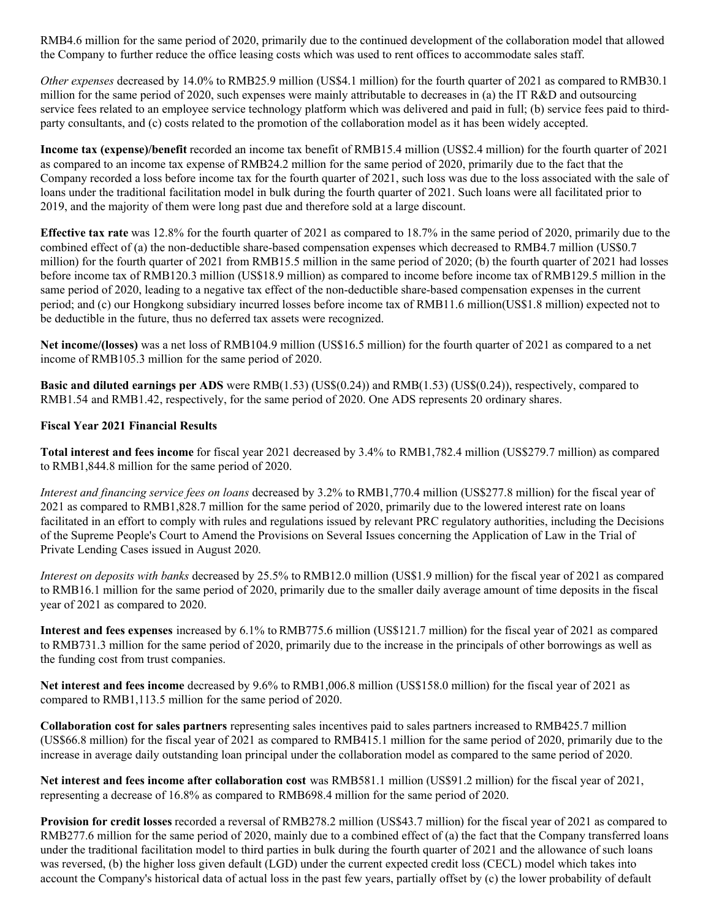RMB4.6 million for the same period of 2020, primarily due to the continued development of the collaboration model that allowed the Company to further reduce the office leasing costs which was used to rent offices to accommodate sales staff.

*Other expenses* decreased by 14.0% to RMB25.9 million (US\$4.1 million) for the fourth quarter of 2021 as compared to RMB30.1 million for the same period of 2020, such expenses were mainly attributable to decreases in (a) the IT R&D and outsourcing service fees related to an employee service technology platform which was delivered and paid in full; (b) service fees paid to thirdparty consultants, and (c) costs related to the promotion of the collaboration model as it has been widely accepted.

**Income tax (expense)/benefit** recorded an income tax benefit of RMB15.4 million (US\$2.4 million) for the fourth quarter of 2021 as compared to an income tax expense of RMB24.2 million for the same period of 2020, primarily due to the fact that the Company recorded a loss before income tax for the fourth quarter of 2021, such loss was due to the loss associated with the sale of loans under the traditional facilitation model in bulk during the fourth quarter of 2021. Such loans were all facilitated prior to 2019, and the majority of them were long past due and therefore sold at a large discount.

**Effective tax rate** was 12.8% for the fourth quarter of 2021 as compared to 18.7% in the same period of 2020, primarily due to the combined effect of (a) the non-deductible share-based compensation expenses which decreased to RMB4.7 million (US\$0.7 million) for the fourth quarter of 2021 from RMB15.5 million in the same period of 2020; (b) the fourth quarter of 2021 had losses before income tax of RMB120.3 million (US\$18.9 million) as compared to income before income tax of RMB129.5 million in the same period of 2020, leading to a negative tax effect of the non-deductible share-based compensation expenses in the current period; and (c) our Hongkong subsidiary incurred losses before income tax of RMB11.6 million(US\$1.8 million) expected not to be deductible in the future, thus no deferred tax assets were recognized.

**Net income/(losses)** was a net loss of RMB104.9 million (US\$16.5 million) for the fourth quarter of 2021 as compared to a net income of RMB105.3 million for the same period of 2020.

**Basic and diluted earnings per ADS** were RMB(1.53) (US\$(0.24)) and RMB(1.53) (US\$(0.24)), respectively, compared to RMB1.54 and RMB1.42, respectively, for the same period of 2020. One ADS represents 20 ordinary shares.

#### **Fiscal Year 2021 Financial Results**

**Total interest and fees income** for fiscal year 2021 decreased by 3.4% to RMB1,782.4 million (US\$279.7 million) as compared to RMB1,844.8 million for the same period of 2020.

*Interest and financing service fees on loans* decreased by 3.2% to RMB1,770.4 million (US\$277.8 million) for the fiscal year of 2021 as compared to RMB1,828.7 million for the same period of 2020, primarily due to the lowered interest rate on loans facilitated in an effort to comply with rules and regulations issued by relevant PRC regulatory authorities, including the Decisions of the Supreme People's Court to Amend the Provisions on Several Issues concerning the Application of Law in the Trial of Private Lending Cases issued in August 2020.

*Interest on deposits with banks* decreased by 25.5% to RMB12.0 million (US\$1.9 million) for the fiscal year of 2021 as compared to RMB16.1 million for the same period of 2020, primarily due to the smaller daily average amount of time deposits in the fiscal year of 2021 as compared to 2020.

**Interest and fees expenses** increased by 6.1% to RMB775.6 million (US\$121.7 million) for the fiscal year of 2021 as compared to RMB731.3 million for the same period of 2020, primarily due to the increase in the principals of other borrowings as well as the funding cost from trust companies.

**Net interest and fees income** decreased by 9.6% to RMB1,006.8 million (US\$158.0 million) for the fiscal year of 2021 as compared to RMB1,113.5 million for the same period of 2020.

**Collaboration cost for sales partners** representing sales incentives paid to sales partners increased to RMB425.7 million (US\$66.8 million) for the fiscal year of 2021 as compared to RMB415.1 million for the same period of 2020, primarily due to the increase in average daily outstanding loan principal under the collaboration model as compared to the same period of 2020.

**Net interest and fees income after collaboration cost** was RMB581.1 million (US\$91.2 million) for the fiscal year of 2021, representing a decrease of 16.8% as compared to RMB698.4 million for the same period of 2020.

**Provision for credit losses** recorded a reversal of RMB278.2 million (US\$43.7 million) for the fiscal year of 2021 as compared to RMB277.6 million for the same period of 2020, mainly due to a combined effect of (a) the fact that the Company transferred loans under the traditional facilitation model to third parties in bulk during the fourth quarter of 2021 and the allowance of such loans was reversed, (b) the higher loss given default (LGD) under the current expected credit loss (CECL) model which takes into account the Company's historical data of actual loss in the past few years, partially offset by (c) the lower probability of default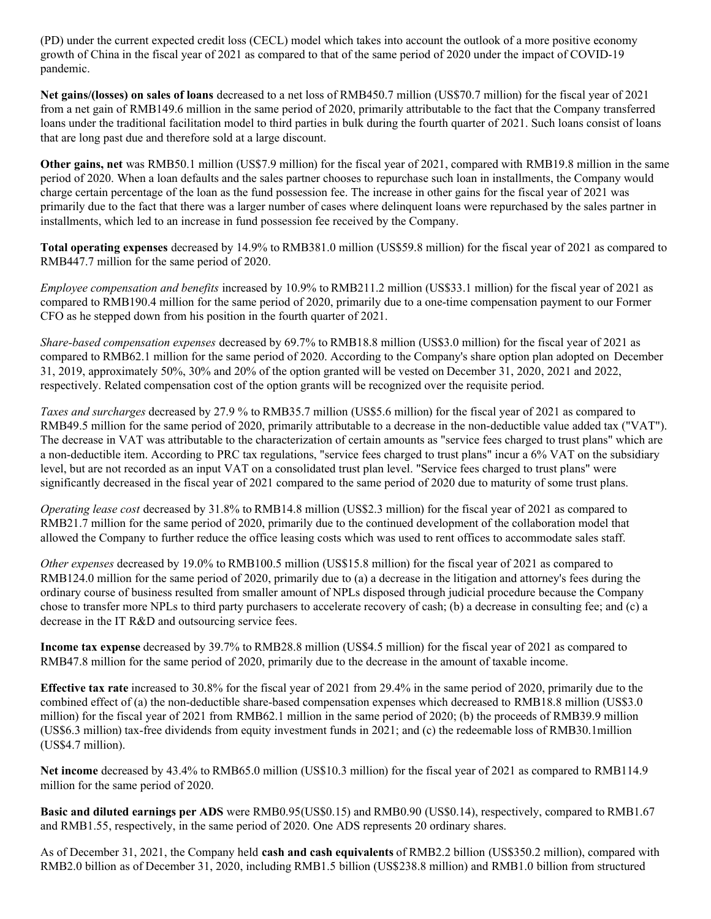(PD) under the current expected credit loss (CECL) model which takes into account the outlook of a more positive economy growth of China in the fiscal year of 2021 as compared to that of the same period of 2020 under the impact of COVID-19 pandemic.

**Net gains/(losses) on sales of loans** decreased to a net loss of RMB450.7 million (US\$70.7 million) for the fiscal year of 2021 from a net gain of RMB149.6 million in the same period of 2020, primarily attributable to the fact that the Company transferred loans under the traditional facilitation model to third parties in bulk during the fourth quarter of 2021. Such loans consist of loans that are long past due and therefore sold at a large discount.

**Other gains, net** was RMB50.1 million (US\$7.9 million) for the fiscal year of 2021, compared with RMB19.8 million in the same period of 2020. When a loan defaults and the sales partner chooses to repurchase such loan in installments, the Company would charge certain percentage of the loan as the fund possession fee. The increase in other gains for the fiscal year of 2021 was primarily due to the fact that there was a larger number of cases where delinquent loans were repurchased by the sales partner in installments, which led to an increase in fund possession fee received by the Company.

**Total operating expenses** decreased by 14.9% to RMB381.0 million (US\$59.8 million) for the fiscal year of 2021 as compared to RMB447.7 million for the same period of 2020.

*Employee compensation and benefits* increased by 10.9% to RMB211.2 million (US\$33.1 million) for the fiscal year of 2021 as compared to RMB190.4 million for the same period of 2020, primarily due to a one-time compensation payment to our Former CFO as he stepped down from his position in the fourth quarter of 2021.

*Share-based compensation expenses* decreased by 69.7% to RMB18.8 million (US\$3.0 million) for the fiscal year of 2021 as compared to RMB62.1 million for the same period of 2020. According to the Company's share option plan adopted on December 31, 2019, approximately 50%, 30% and 20% of the option granted will be vested on December 31, 2020, 2021 and 2022, respectively. Related compensation cost of the option grants will be recognized over the requisite period.

*Taxes and surcharges* decreased by 27.9 % to RMB35.7 million (US\$5.6 million) for the fiscal year of 2021 as compared to RMB49.5 million for the same period of 2020, primarily attributable to a decrease in the non-deductible value added tax ("VAT"). The decrease in VAT was attributable to the characterization of certain amounts as "service fees charged to trust plans" which are a non-deductible item. According to PRC tax regulations, "service fees charged to trust plans" incur a 6% VAT on the subsidiary level, but are not recorded as an input VAT on a consolidated trust plan level. "Service fees charged to trust plans" were significantly decreased in the fiscal year of 2021 compared to the same period of 2020 due to maturity of some trust plans.

*Operating lease cost* decreased by 31.8% to RMB14.8 million (US\$2.3 million) for the fiscal year of 2021 as compared to RMB21.7 million for the same period of 2020, primarily due to the continued development of the collaboration model that allowed the Company to further reduce the office leasing costs which was used to rent offices to accommodate sales staff.

*Other expenses* decreased by 19.0% to RMB100.5 million (US\$15.8 million) for the fiscal year of 2021 as compared to RMB124.0 million for the same period of 2020, primarily due to (a) a decrease in the litigation and attorney's fees during the ordinary course of business resulted from smaller amount of NPLs disposed through judicial procedure because the Company chose to transfer more NPLs to third party purchasers to accelerate recovery of cash; (b) a decrease in consulting fee; and (c) a decrease in the IT R&D and outsourcing service fees.

**Income tax expense** decreased by 39.7% to RMB28.8 million (US\$4.5 million) for the fiscal year of 2021 as compared to RMB47.8 million for the same period of 2020, primarily due to the decrease in the amount of taxable income.

**Effective tax rate** increased to 30.8% for the fiscal year of 2021 from 29.4% in the same period of 2020, primarily due to the combined effect of (a) the non-deductible share-based compensation expenses which decreased to RMB18.8 million (US\$3.0 million) for the fiscal year of 2021 from RMB62.1 million in the same period of 2020; (b) the proceeds of RMB39.9 million (US\$6.3 million) tax-free dividends from equity investment funds in 2021; and (c) the redeemable loss of RMB30.1million (US\$4.7 million).

**Net income** decreased by 43.4% to RMB65.0 million (US\$10.3 million) for the fiscal year of 2021 as compared to RMB114.9 million for the same period of 2020.

**Basic and diluted earnings per ADS** were RMB0.95(US\$0.15) and RMB0.90 (US\$0.14), respectively, compared to RMB1.67 and RMB1.55, respectively, in the same period of 2020. One ADS represents 20 ordinary shares.

As of December 31, 2021, the Company held **cash and cash equivalents** of RMB2.2 billion (US\$350.2 million), compared with RMB2.0 billion as of December 31, 2020, including RMB1.5 billion (US\$238.8 million) and RMB1.0 billion from structured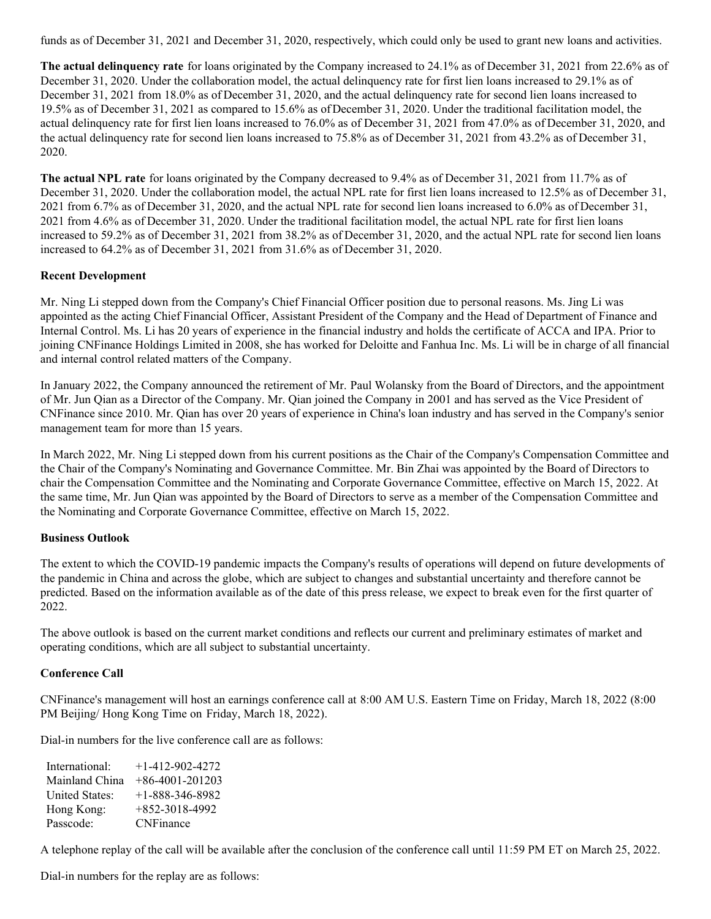funds as of December 31, 2021 and December 31, 2020, respectively, which could only be used to grant new loans and activities.

**The actual delinquency rate** for loans originated by the Company increased to 24.1% as of December 31, 2021 from 22.6% as of December 31, 2020. Under the collaboration model, the actual delinquency rate for first lien loans increased to 29.1% as of December 31, 2021 from 18.0% as of December 31, 2020, and the actual delinquency rate for second lien loans increased to 19.5% as of December 31, 2021 as compared to 15.6% as ofDecember 31, 2020. Under the traditional facilitation model, the actual delinquency rate for first lien loans increased to 76.0% as of December 31, 2021 from 47.0% as of December 31, 2020, and the actual delinquency rate for second lien loans increased to 75.8% as of December 31, 2021 from 43.2% as of December 31, 2020.

**The actual NPL rate** for loans originated by the Company decreased to 9.4% as of December 31, 2021 from 11.7% as of December 31, 2020. Under the collaboration model, the actual NPL rate for first lien loans increased to 12.5% as of December 31, 2021 from 6.7% as of December 31, 2020, and the actual NPL rate for second lien loans increased to 6.0% as of December 31, 2021 from 4.6% as of December 31, 2020. Under the traditional facilitation model, the actual NPL rate for first lien loans increased to 59.2% as of December 31, 2021 from 38.2% as of December 31, 2020, and the actual NPL rate for second lien loans increased to 64.2% as of December 31, 2021 from 31.6% as of December 31, 2020.

# **Recent Development**

Mr. Ning Li stepped down from the Company's Chief Financial Officer position due to personal reasons. Ms. Jing Li was appointed as the acting Chief Financial Officer, Assistant President of the Company and the Head of Department of Finance and Internal Control. Ms. Li has 20 years of experience in the financial industry and holds the certificate of ACCA and IPA. Prior to joining CNFinance Holdings Limited in 2008, she has worked for Deloitte and Fanhua Inc. Ms. Li will be in charge of all financial and internal control related matters of the Company.

In January 2022, the Company announced the retirement of Mr. Paul Wolansky from the Board of Directors, and the appointment of Mr. Jun Qian as a Director of the Company. Mr. Qian joined the Company in 2001 and has served as the Vice President of CNFinance since 2010. Mr. Qian has over 20 years of experience in China's loan industry and has served in the Company's senior management team for more than 15 years.

In March 2022, Mr. Ning Li stepped down from his current positions as the Chair of the Company's Compensation Committee and the Chair of the Company's Nominating and Governance Committee. Mr. Bin Zhai was appointed by the Board of Directors to chair the Compensation Committee and the Nominating and Corporate Governance Committee, effective on March 15, 2022. At the same time, Mr. Jun Qian was appointed by the Board of Directors to serve as a member of the Compensation Committee and the Nominating and Corporate Governance Committee, effective on March 15, 2022.

# **Business Outlook**

The extent to which the COVID-19 pandemic impacts the Company's results of operations will depend on future developments of the pandemic in China and across the globe, which are subject to changes and substantial uncertainty and therefore cannot be predicted. Based on the information available as of the date of this press release, we expect to break even for the first quarter of 2022.

The above outlook is based on the current market conditions and reflects our current and preliminary estimates of market and operating conditions, which are all subject to substantial uncertainty.

# **Conference Call**

CNFinance's management will host an earnings conference call at 8:00 AM U.S. Eastern Time on Friday, March 18, 2022 (8:00 PM Beijing/ Hong Kong Time on Friday, March 18, 2022).

Dial-in numbers for the live conference call are as follows:

| International:        | $+1 - 412 - 902 - 4272$ |
|-----------------------|-------------------------|
| Mainland China        | $+86-4001-201203$       |
| <b>United States:</b> | $+1 - 888 - 346 - 8982$ |
| Hong Kong:            | $+852-3018-4992$        |
| Passcode:             | <b>CNFinance</b>        |

A telephone replay of the call will be available after the conclusion of the conference call until 11:59 PM ET on March 25, 2022.

Dial-in numbers for the replay are as follows: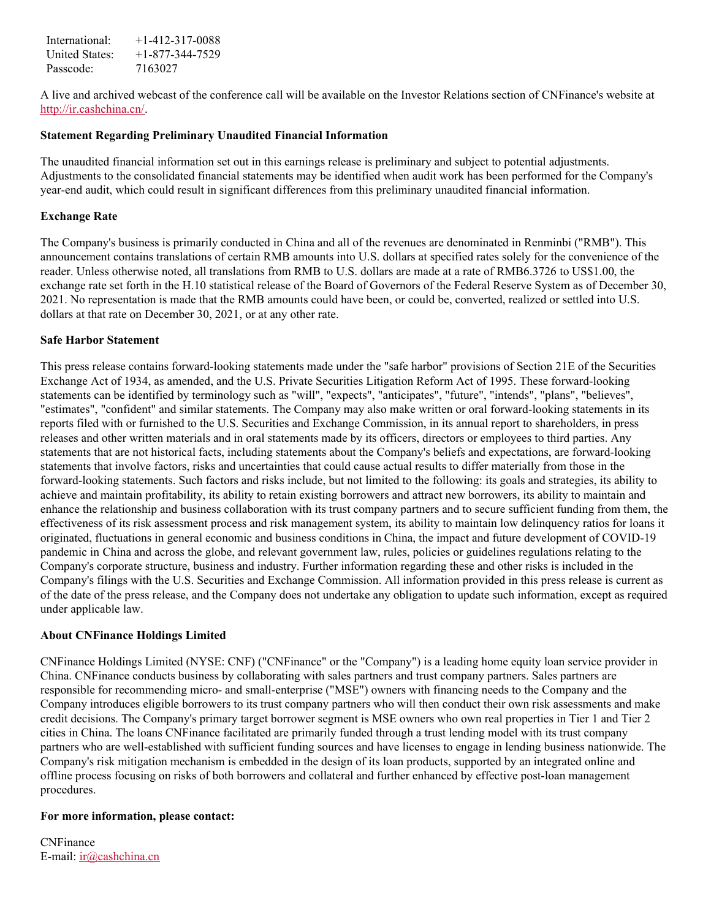International: +1-412-317-0088 United States:  $+1-877-344-7529$ Passcode: 7163027

A live and archived webcast of the conference call will be available on the Investor Relations section of CNFinance's website at <http://ir.cashchina.cn/>.

#### **Statement Regarding Preliminary Unaudited Financial Information**

The unaudited financial information set out in this earnings release is preliminary and subject to potential adjustments. Adjustments to the consolidated financial statements may be identified when audit work has been performed for the Company's year-end audit, which could result in significant differences from this preliminary unaudited financial information.

#### **Exchange Rate**

The Company's business is primarily conducted in China and all of the revenues are denominated in Renminbi ("RMB"). This announcement contains translations of certain RMB amounts into U.S. dollars at specified rates solely for the convenience of the reader. Unless otherwise noted, all translations from RMB to U.S. dollars are made at a rate of RMB6.3726 to US\$1.00, the exchange rate set forth in the H.10 statistical release of the Board of Governors of the Federal Reserve System as of December 30, 2021. No representation is made that the RMB amounts could have been, or could be, converted, realized or settled into U.S. dollars at that rate on December 30, 2021, or at any other rate.

#### **Safe Harbor Statement**

This press release contains forward-looking statements made under the "safe harbor" provisions of Section 21E of the Securities Exchange Act of 1934, as amended, and the U.S. Private Securities Litigation Reform Act of 1995. These forward-looking statements can be identified by terminology such as "will", "expects", "anticipates", "future", "intends", "plans", "believes", "estimates", "confident" and similar statements. The Company may also make written or oral forward-looking statements in its reports filed with or furnished to the U.S. Securities and Exchange Commission, in its annual report to shareholders, in press releases and other written materials and in oral statements made by its officers, directors or employees to third parties. Any statements that are not historical facts, including statements about the Company's beliefs and expectations, are forward-looking statements that involve factors, risks and uncertainties that could cause actual results to differ materially from those in the forward-looking statements. Such factors and risks include, but not limited to the following: its goals and strategies, its ability to achieve and maintain profitability, its ability to retain existing borrowers and attract new borrowers, its ability to maintain and enhance the relationship and business collaboration with its trust company partners and to secure sufficient funding from them, the effectiveness of its risk assessment process and risk management system, its ability to maintain low delinquency ratios for loans it originated, fluctuations in general economic and business conditions in China, the impact and future development of COVID-19 pandemic in China and across the globe, and relevant government law, rules, policies or guidelines regulations relating to the Company's corporate structure, business and industry. Further information regarding these and other risks is included in the Company's filings with the U.S. Securities and Exchange Commission. All information provided in this press release is current as of the date of the press release, and the Company does not undertake any obligation to update such information, except as required under applicable law.

#### **About CNFinance Holdings Limited**

CNFinance Holdings Limited (NYSE: CNF) ("CNFinance" or the "Company") is a leading home equity loan service provider in China. CNFinance conducts business by collaborating with sales partners and trust company partners. Sales partners are responsible for recommending micro- and small-enterprise ("MSE") owners with financing needs to the Company and the Company introduces eligible borrowers to its trust company partners who will then conduct their own risk assessments and make credit decisions. The Company's primary target borrower segment is MSE owners who own real properties in Tier 1 and Tier 2 cities in China. The loans CNFinance facilitated are primarily funded through a trust lending model with its trust company partners who are well-established with sufficient funding sources and have licenses to engage in lending business nationwide. The Company's risk mitigation mechanism is embedded in the design of its loan products, supported by an integrated online and offline process focusing on risks of both borrowers and collateral and further enhanced by effective post-loan management procedures.

#### **For more information, please contact:**

CNFinance E-mail: [ir@cashchina.cn](mailto:ir@cashchina.cn)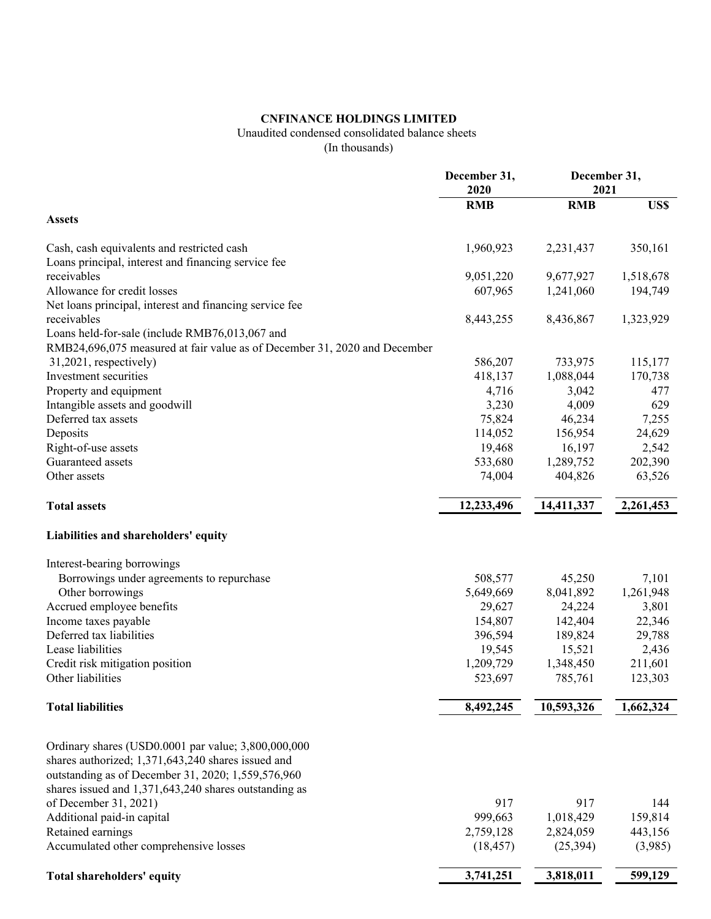# **CNFINANCE HOLDINGS LIMITED**

# Unaudited condensed consolidated balance sheets

(In thousands)

|                                                                                                                                                                 | December 31,<br>2020 |            | December 31,<br>2021 |  |
|-----------------------------------------------------------------------------------------------------------------------------------------------------------------|----------------------|------------|----------------------|--|
|                                                                                                                                                                 | <b>RMB</b>           | <b>RMB</b> | US\$                 |  |
| <b>Assets</b>                                                                                                                                                   |                      |            |                      |  |
| Cash, cash equivalents and restricted cash<br>Loans principal, interest and financing service fee                                                               | 1,960,923            | 2,231,437  | 350,161              |  |
| receivables                                                                                                                                                     | 9,051,220            | 9,677,927  | 1,518,678            |  |
| Allowance for credit losses                                                                                                                                     | 607,965              | 1,241,060  | 194,749              |  |
| Net loans principal, interest and financing service fee                                                                                                         |                      |            |                      |  |
| receivables                                                                                                                                                     | 8,443,255            | 8,436,867  | 1,323,929            |  |
| Loans held-for-sale (include RMB76,013,067 and                                                                                                                  |                      |            |                      |  |
| RMB24,696,075 measured at fair value as of December 31, 2020 and December                                                                                       |                      |            |                      |  |
| 31,2021, respectively)                                                                                                                                          | 586,207              | 733,975    | 115,177              |  |
| Investment securities                                                                                                                                           | 418,137              | 1,088,044  | 170,738              |  |
| Property and equipment                                                                                                                                          | 4,716                | 3,042      | 477                  |  |
| Intangible assets and goodwill                                                                                                                                  | 3,230                | 4,009      | 629                  |  |
| Deferred tax assets                                                                                                                                             | 75,824               | 46,234     | 7,255                |  |
| Deposits                                                                                                                                                        | 114,052              | 156,954    | 24,629               |  |
| Right-of-use assets                                                                                                                                             | 19,468               | 16,197     | 2,542                |  |
| Guaranteed assets                                                                                                                                               | 533,680              | 1,289,752  | 202,390              |  |
| Other assets                                                                                                                                                    | 74,004               | 404,826    | 63,526               |  |
| <b>Total assets</b>                                                                                                                                             | 12,233,496           | 14,411,337 | 2,261,453            |  |
| Liabilities and shareholders' equity                                                                                                                            |                      |            |                      |  |
| Interest-bearing borrowings                                                                                                                                     |                      |            |                      |  |
| Borrowings under agreements to repurchase                                                                                                                       | 508,577              | 45,250     | 7,101                |  |
| Other borrowings                                                                                                                                                | 5,649,669            | 8,041,892  | 1,261,948            |  |
| Accrued employee benefits                                                                                                                                       | 29,627               | 24,224     | 3,801                |  |
| Income taxes payable                                                                                                                                            | 154,807              | 142,404    | 22,346               |  |
| Deferred tax liabilities                                                                                                                                        | 396,594              | 189,824    | 29,788               |  |
| Lease liabilities                                                                                                                                               | 19,545               | 15,521     | 2,436                |  |
| Credit risk mitigation position                                                                                                                                 | 1,209,729            | 1,348,450  | 211,601              |  |
| Other liabilities                                                                                                                                               | 523,697              | 785,761    | 123,303              |  |
| <b>Total liabilities</b>                                                                                                                                        | 8,492,245            | 10,593,326 | 1,662,324            |  |
| Ordinary shares (USD0.0001 par value; 3,800,000,000<br>shares authorized; 1,371,643,240 shares issued and<br>outstanding as of December 31, 2020; 1,559,576,960 |                      |            |                      |  |
| shares issued and 1,371,643,240 shares outstanding as                                                                                                           |                      |            |                      |  |
| of December 31, 2021)                                                                                                                                           | 917                  | 917        | 144                  |  |
| Additional paid-in capital                                                                                                                                      | 999,663              | 1,018,429  | 159,814              |  |
| Retained earnings                                                                                                                                               | 2,759,128            | 2,824,059  | 443,156              |  |
| Accumulated other comprehensive losses                                                                                                                          | (18, 457)            | (25, 394)  | (3,985)              |  |
| Total shareholders' equity                                                                                                                                      | 3,741,251            | 3,818,011  | 599,129              |  |
|                                                                                                                                                                 |                      |            |                      |  |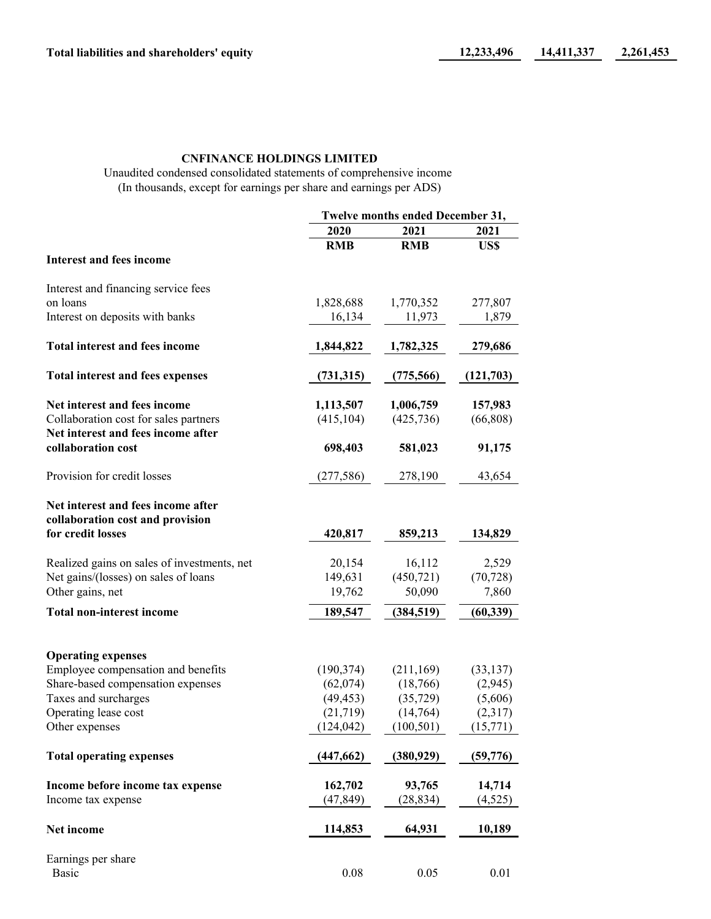# **CNFINANCE HOLDINGS LIMITED**

Unaudited condensed consolidated statements of comprehensive income (In thousands, except for earnings per share and earnings per ADS)

|                                                          | Twelve months ended December 31, |            |           |
|----------------------------------------------------------|----------------------------------|------------|-----------|
|                                                          | 2020                             | 2021       | 2021      |
|                                                          | <b>RMB</b>                       | <b>RMB</b> | US\$      |
| <b>Interest and fees income</b>                          |                                  |            |           |
| Interest and financing service fees                      |                                  |            |           |
| on loans                                                 | 1,828,688                        | 1,770,352  | 277,807   |
| Interest on deposits with banks                          | 16,134                           | 11,973     | 1,879     |
| <b>Total interest and fees income</b>                    | 1,844,822                        | 1,782,325  | 279,686   |
| Total interest and fees expenses                         | (731,315)                        | (775, 566) | (121,703) |
| Net interest and fees income                             | 1,113,507                        | 1,006,759  | 157,983   |
| Collaboration cost for sales partners                    | (415, 104)                       | (425, 736) | (66, 808) |
| Net interest and fees income after<br>collaboration cost | 698,403                          | 581,023    | 91,175    |
| Provision for credit losses                              | (277, 586)                       | 278,190    | 43,654    |
| Net interest and fees income after                       |                                  |            |           |
| collaboration cost and provision                         |                                  |            |           |
| for credit losses                                        | 420,817                          | 859,213    | 134,829   |
| Realized gains on sales of investments, net              | 20,154                           | 16,112     | 2,529     |
| Net gains/(losses) on sales of loans                     | 149,631                          | (450, 721) | (70, 728) |
| Other gains, net                                         | 19,762                           | 50,090     | 7,860     |
| <b>Total non-interest income</b>                         | 189,547                          | (384, 519) | (60, 339) |
| <b>Operating expenses</b>                                |                                  |            |           |
| Employee compensation and benefits                       | (190, 374)                       | (211, 169) | (33, 137) |
| Share-based compensation expenses                        | (62,074)                         | (18,766)   | (2,945)   |
| Taxes and surcharges                                     | (49, 453)                        | (35, 729)  | (5,606)   |
| Operating lease cost                                     | (21,719)                         | (14,764)   | (2,317)   |
| Other expenses                                           | (124, 042)                       | (100, 501) | (15,771)  |
| <b>Total operating expenses</b>                          | (447, 662)                       | (380, 929) | (59, 776) |
| Income before income tax expense                         | 162,702                          | 93,765     | 14,714    |
| Income tax expense                                       | (47, 849)                        | (28, 834)  | (4,525)   |
| Net income                                               | 114,853                          | 64,931     | 10,189    |
| Earnings per share                                       |                                  |            |           |
| <b>Basic</b>                                             | 0.08                             | 0.05       | 0.01      |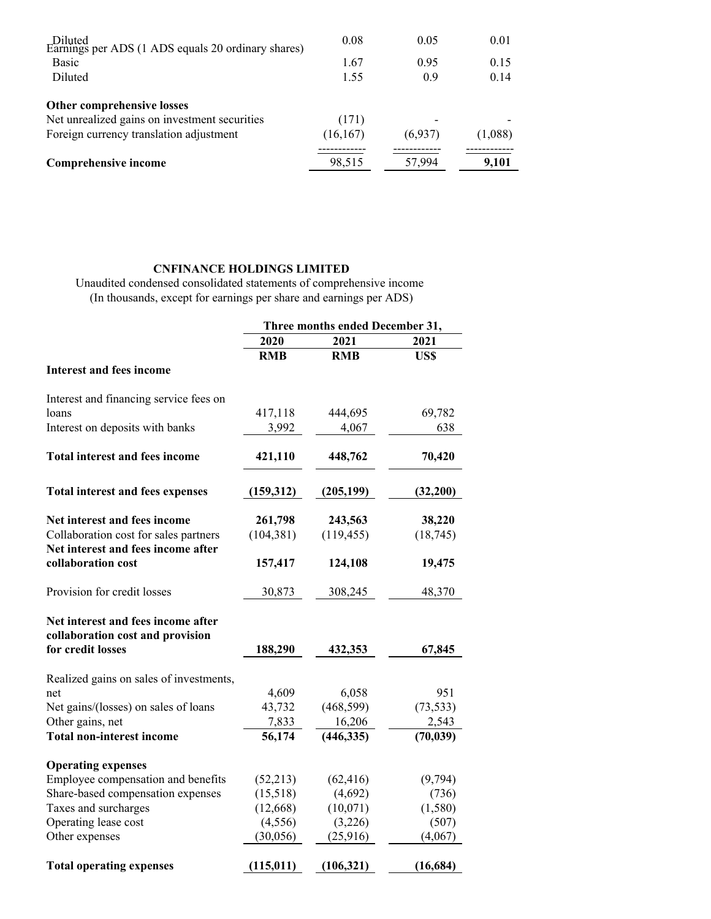| Diluted<br>Earnings per ADS (1 ADS equals 20 ordinary shares) | 0.08      | 0.05    | 0.01    |
|---------------------------------------------------------------|-----------|---------|---------|
| <b>Basic</b>                                                  | 1.67      | 0.95    | 0.15    |
| Diluted                                                       | 1.55      | 0.9     | 0.14    |
| Other comprehensive losses                                    |           |         |         |
| Net unrealized gains on investment securities                 | (171)     |         |         |
| Foreign currency translation adjustment                       | (16, 167) | (6,937) | (1,088) |
| <b>Comprehensive income</b>                                   | 98,515    | 57,994  | 9,101   |

# **CNFINANCE HOLDINGS LIMITED**

Unaudited condensed consolidated statements of comprehensive income (In thousands, except for earnings per share and earnings per ADS)

|                                         | Three months ended December 31, |            |           |
|-----------------------------------------|---------------------------------|------------|-----------|
|                                         | 2020                            | 2021       | 2021      |
|                                         | <b>RMB</b>                      | <b>RMB</b> | US\$      |
| <b>Interest and fees income</b>         |                                 |            |           |
| Interest and financing service fees on  |                                 |            |           |
| loans                                   | 417,118                         | 444,695    | 69,782    |
| Interest on deposits with banks         | 3,992                           | 4,067      | 638       |
| <b>Total interest and fees income</b>   | 421,110                         | 448,762    | 70,420    |
| <b>Total interest and fees expenses</b> | (159, 312)                      | (205, 199) | (32,200)  |
| Net interest and fees income            | 261,798                         | 243,563    | 38,220    |
| Collaboration cost for sales partners   | (104, 381)                      | (119, 455) | (18, 745) |
| Net interest and fees income after      |                                 |            |           |
| collaboration cost                      | 157,417                         | 124,108    | 19,475    |
| Provision for credit losses             | 30,873                          | 308,245    | 48,370    |
| Net interest and fees income after      |                                 |            |           |
| collaboration cost and provision        |                                 |            |           |
| for credit losses                       | 188,290                         | 432,353    | 67,845    |
| Realized gains on sales of investments, |                                 |            |           |
| net                                     | 4,609                           | 6,058      | 951       |
| Net gains/(losses) on sales of loans    | 43,732                          | (468, 599) | (73, 533) |
| Other gains, net                        | 7,833                           | 16,206     | 2,543     |
| <b>Total non-interest income</b>        | 56,174                          | (446, 335) | (70, 039) |
| <b>Operating expenses</b>               |                                 |            |           |
| Employee compensation and benefits      | (52, 213)                       | (62, 416)  | (9,794)   |
| Share-based compensation expenses       | (15,518)                        | (4,692)    | (736)     |
| Taxes and surcharges                    | (12, 668)                       | (10,071)   | (1,580)   |
| Operating lease cost                    | (4, 556)                        | (3,226)    | (507)     |
| Other expenses                          | (30,056)                        | (25,916)   | (4,067)   |
| <b>Total operating expenses</b>         | (115, 011)                      | (106, 321) | (16, 684) |